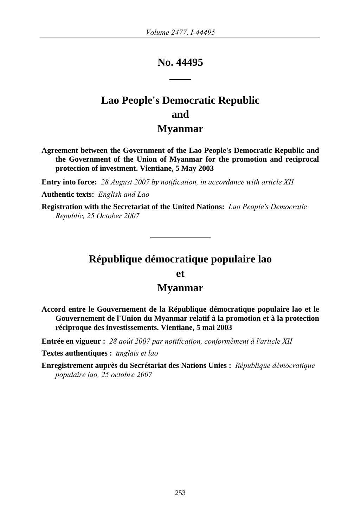## **No. 44495 \_\_\_\_**

# **Lao People's Democratic Republic and Myanmar**

**Agreement between the Government of the Lao People's Democratic Republic and the Government of the Union of Myanmar for the promotion and reciprocal protection of investment. Vientiane, 5 May 2003** 

**Entry into force:** *28 August 2007 by notification, in accordance with article XII* 

**Authentic texts:** *English and Lao*

**Registration with the Secretariat of the United Nations:** *Lao People's Democratic Republic, 25 October 2007*

## **République démocratique populaire lao**

**et** 

## **Myanmar**

**Accord entre le Gouvernement de la République démocratique populaire lao et le Gouvernement de l'Union du Myanmar relatif à la promotion et à la protection réciproque des investissements. Vientiane, 5 mai 2003** 

**Entrée en vigueur :** *28 août 2007 par notification, conformément à l'article XII* 

**Textes authentiques :** *anglais et lao*

**Enregistrement auprès du Secrétariat des Nations Unies :** *République démocratique populaire lao, 25 octobre 2007*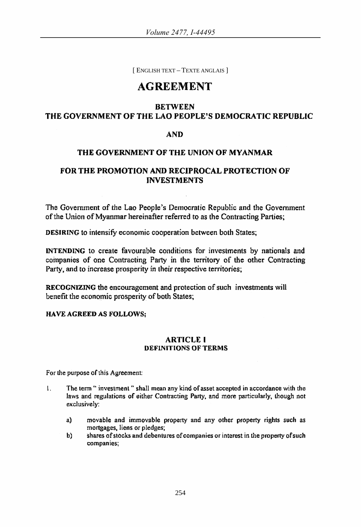[ ENGLISH TEXT – TEXTE ANGLAIS ]

## AGREEMENT

## BETWEEN THE GOVERNMENT OF THE LAO PEOPLE'S DEMOCRATIC REPUBLIC

## AND

### THE GOVERNMENT OF THE UNION OF MYANMAR

## FOR THE PROMOTION AND RECIPROCAL PROTECTION OF INVESTMENTS

The Government of the Lao People's Democratic Republic and the Government of the Union of Myanmar hereinafter referred to as the Contracting Parties;

DESIRING to intensify economic cooperation between both States;

INTENDING to create favourable conditions for investments by nationals and companies of one Contracting Party in the territory of the other Contracting Party, and to increase prosperity in their respective territories;

RECOGNIZING the encouragement and protection of such investments will benefit the economic prosperity of both States;

#### HA YE AGREED AS FOLLOWS;

#### ARTICLE I DEFINITIONS OF TERMS

For the purpose of this Agreement

- 1. The term " investment " shall mean any kind of asset accepted in accordance with the laws and regulations of either Contracting Party, and more particularly, though not exclusively:
	- a) movable and immovable property and any other property rights such as mortgages. liens or pledges;
	- b) shares of stocks and debentures of companies or interest in the property of such companies;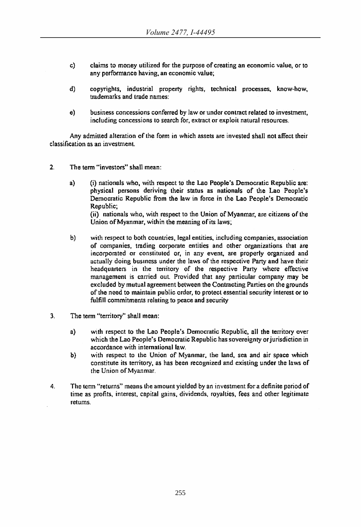- c) claims to money utilized for the purpose of creating an economic value. or to any performance having, an economic value:
- d) copyrights. industrial property rights, technical processes. know-how, trademarks and trade names:
- e) business concessions conferred by law or under contract related to investment, including concessions 10 search for. extract or exploit natural resources.

Any admitted alteration of the form in which assets are invested shall not affect their classification as an investment

- 2. The term "investors" shall mean:
	- a) (i) nationals who. with respect to the Lao People's Democratic Republic are: physical persons deriving their status as nationals of the Lao People's Democratic Republic from the law in force in the Lao People's Democratic Republic; (ii) nationals who, with respect to the Union of Myanmar, are citizens of the

Union ofMyanmar, within the meaning of its laws;

- b) with respect to both countries, legal entities, including companies, association of companies, lrading corporate entities and other organizations that are incorporated or constituted or, in any event, are properly organized and actually doing business under the laws of the respective Party and have their headquarters in the territory of Ihe respective Party where effective management is carried out Provided Ihat any particular company may be excluded by mutual agreement between the Contracting Parties on the grounds of the need to maintain public order, to protect essential security interest or to fulfill commitments relating to peace and security
- 3. The term "territory" shall mean:
	- a) with respect to the Lao People's Democratic Republic, all the territory over which the Lao People's Democratic Republic has sovereignty or jurisdiction in accordance with international law.
	- b) with respect to the Unjon of Myanmar, the land, sea and air space which constitute its territory. as has been recognized and existing under the laws of the Union ofMyanmar.
- 4. The term "returns" means the amount yielded by an investment for a definite period of lime as profits, interest, capital gains, dividends, royalties, fees and other legitimate returns.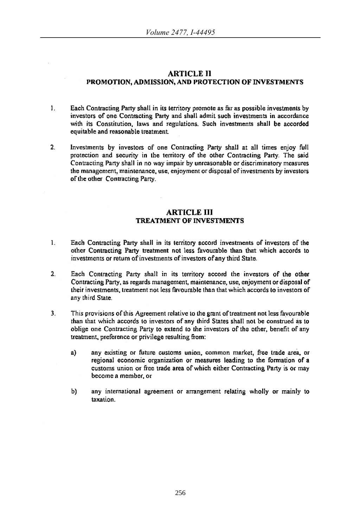#### ARTICLE 11 PROMOTION, ADMISSION, AND PROTECTION OF INVESTMENTS

- 1. Each Contracting Party shall in its territory promote as far as possible investments by investors of one Contracting Party and shall admit such investments in accordance with its Constitution, laws and regulations. Such investments shall be accorded equitable and reasonable treatment
- 2. Investments by investors of one Contracting Party shall at all times enjoy full protection and security in the territory of the other Contracting Party. The said Contracting Pany shall in no way impair by unreasonable or discriminatory measures the management, maintenance, use, enjoyment or disposal of investments by investors of the other Contracting Party.

#### ARTICLE **III**  TREATMENT OF INVESTMENTS

- L Each Contracting Party shall in its territory accord investments of investors of the other Contracting Party treatment not less favourable than that which accords to investments or return of investments of investors of any third State.
- 2, Each Contracting Party shall in its territory accord the investors of lhe other Contracting Party, as regards management, maintenance, use, enjoyment or disposal of their investments, treatment not less favourable Ihan that which accords to investors of any third State.
- 3. This provisions of this Agreement relative 10 Ibe grant of treatment not less favourable than that which accords (0 investors of any third States shall not be construed as to oblige one Contracting Party to extend 10 the investors of the other, benefit of any treatment, preference Of privilege resulting from:
	- a) any existing or future customs union, common market, free trade area, or regional economic organization or measures leading to the formation of a customs union or free trade area of which either Contracting Party is or may become a member, or
	- b) any international agreement or arrangement relating wholly or mainly to taxation.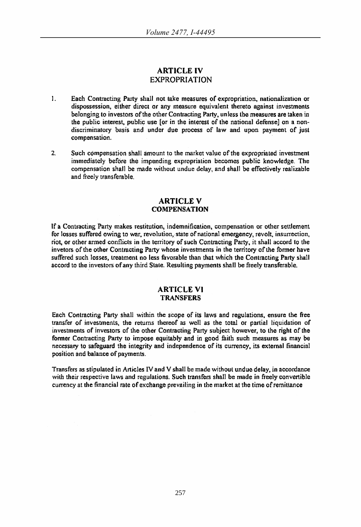## ARTICLE IV EXPROPRIATION

- 1. Each Contracting Party shall not take measures of expropriation, nationalization or dispossession, either direct or any measure equivalent thereto against investments belonging to investors of the other Contracting Party, unless the measures are taken in the public interest, public use [or in the interest of the national defense] on a nondiscriminatory basis and under due process of law and upon payment of just compensation.
- 2. Such compensation shall amount to the market value of the expropriated investment immediately before the impending exproprialion becomes public knowledge. The compensation shall be made without undue delay, and shall be effectively realizable and freely transferable.

#### ARTICLE V **COMPENSATION**

If a Contracting Party makes restitution, indemnification, compensation or other settlement for losses suffered owing to war. revolution, state of national emergency, revolt, insurrection, riot, or other armed conflicts in the territory of such Contracting Party, it shall accord to the invetors of the other Contracting Party whose investments in the territory of the former have suffered such losses. treatment no less favorable than that which the Contracting Party shall accord to the investors of any third State. Resulting payments shall be freely transferable.

#### ARTICLE VI **TRANSFERS**

Each Contracting Party shall within the scope of its laws and regulations, ensure the free transfer of investments, the returns thereof as well as the total or partial liquidation of investments of investors of the other Contracting Party subject however, to the right of the former Contracting Party to impose equitably and in good faith such measures as may be necessary to safeguard the integrity and independence of its currency, its external financial position and baiance of payments.

Transfers as stipulated in Articles IV and V shall be made without undue delay. in accordance with their respective laws and regulations. Such transfers shall be made in freely convertible currency at the financial rate of exchange prevailing in the market at the time of remittance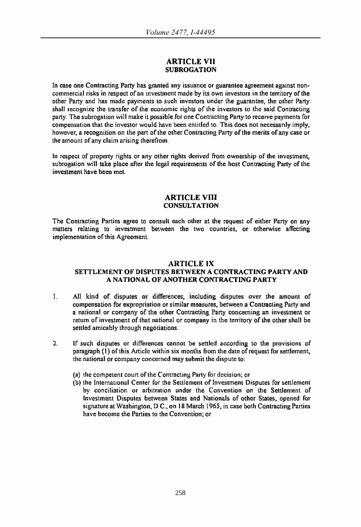#### ARTICLE VU **SUBROGATION**

In case one Contracting Party has granted any issuance or guarantee agreement against noncommercial risks in respect of an investment made by its own investors in the territory ofthe other Party and has made paymenls to such investors under the guarantee, the other Party shall recognize the transfer of the economic rights of the investors to the said Contracting party. The subrogation will make it possible for one Contracting Party to receive payments for compensation that the investor would have been entitled to. This does not necessarily imply, however. a recognition on the part of the other Contracting Party of the merits of any case or the amount of any claim arising therefrom,

In respect of property rights or any olher rights derived from ownership of the investment, subrogation will take place after the legal requirements of the host Contracting Party of the investment have been met

#### **ARTICLE VIII CONSULTATION**

The Contracting Parties agree to consult each other at the request of either Party on any matters relating to investment between the two countries, or otherwise affecting implementation of this Agreement

#### ARTICLE IX

#### SETTLEMENT OF DISPUTES BETWEEN A CONTRACTING PARTY AND A NATIONAL OF ANOTHER CONTRACTING PARTY

- 1. All kind of disputes or differences, including disputes over the amount of compensation for expropriation or similar measures. between.a Contracting Party and a national or company of the other Contracting Party concerning an invesunent or return of investment of that national or company in the territory of the other shall be settled amicably through negotiations.
- 2. It such disputes or differences cannot be settled according to the provisions of paragraph  $(1)$  of this Article within six months from the date of request for settlement. the national or company concerned may submit the dispute to:
	- (a) the competent court of the Contracting Party for decision; or
	- (b) the International Center for the Settlement of Investment Disputes for settlement by conciliation or arbitration under the Convention on the Settlement of Investment Disputes between States and Nationals of other States, opened for signature at Washington, D.C., on 18 March 1965, in case both Contracting Parties have become the Parties to the Convention; or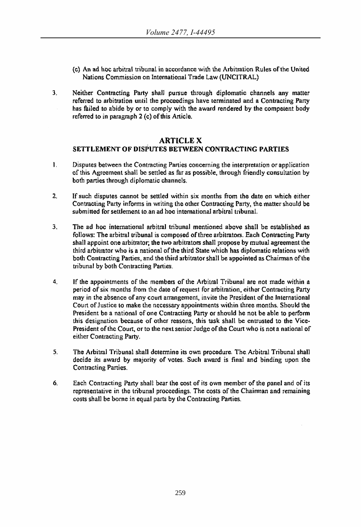- (c) An ad hoc arbitral tribunal in accordance with the Arbitration Rules ofthe United Nations Commission on International Trade Law (UNCITRAL)
- 3. Neither Contracting Party shall pursue through diplomatic channels any matter referred to arbitration until the proceedings have terminated and a Contracting Patty has failed to abide by or to comply with the award rendered by the competent body referred to in paragraph 2 (c) of this Article.

#### **ARTICLE X**

## SETTLEMENT OF DISPUTES BETWEEN CONTRACTING PARTIES

- I. Disputes between the Contracting Parties concerning the interpretation or application of this. Agreement shall be settled as far as possible, through friendly consultation by both parties through diplomatic channels.
- 2. If such disputes cannot be settled within six months from the date on which either Contracting Party informs in writing the other Contracting Party, the matter should be submitted for settlement to an ad hoc international arbitral tribunal.
- 3. The ad hoc international arbitral tribunal mentioned above shall be established as follows: The arbitral tribunal is composed of three arbitrators. Each Contracting Party shall appoint one arbitrator; the two arbitrators shall propose by mutual agreement the third arbitrator who is a national of the third Slate which has diplomatic relations with both Contracting Parties, and the third arbitrator shall be appointed as Chairman of the tribunal by both Contracting Parties.
- 4. If the appointments of the members of the Arbitral Tribunal are not made within a period of six months from the dale of request for arbitration, either Contracting Party may in the absence of any court arrangement, invite the President of the International Court of Justice to make the necessary appointments within three months. Should the President be a national of one Contracting Party or should he not be able to perform this designation because of other reasons, this task shall be entrusted to the Vice-President of the Court, or to the next senior Judge of the Court who is not a national of either Contracting Party.
- 5. The Arbitral Tribunal shall determine its own procedure. The. Arbitral Tribunal shall decide its award by majority of votes. Such award is final and binding upon the Contracting Parties.
- 6. Each Contracting Party shall bear the cost of its own member of the panel and of its representative in the tribunal proceedings. The costs of the Chairman and remaining costs shall be borne in equal parts by the Contracting Parties.